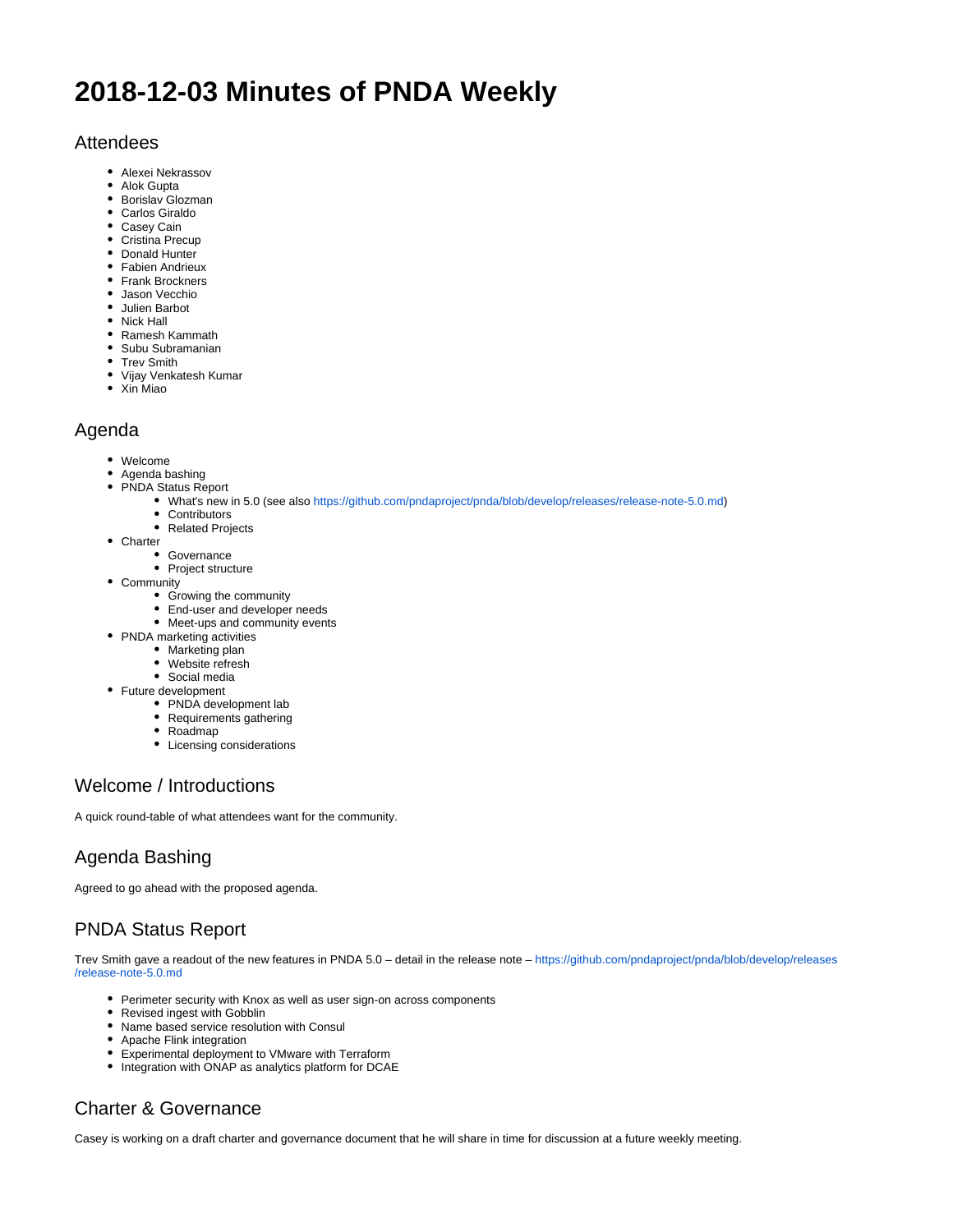# **2018-12-03 Minutes of PNDA Weekly**

## Attendees

- Alexei Nekrassov
- Alok Gupta
- Borislav Glozman
- Carlos Giraldo
- Casey Cain
- Cristina Precup
- Donald Hunter
- Fabien Andrieux • Frank Brockners
- 
- Jason Vecchio Julien Barbot
- Nick Hall
- 
- Ramesh Kammath
- Subu Subramanian
- Trev Smith
- Vijay Venkatesh Kumar
- Xin Miao

#### Agenda

- Welcome
- Agenda bashing
- PNDA Status Report
	- What's new in 5.0 (see also <https://github.com/pndaproject/pnda/blob/develop/releases/release-note-5.0.md>)
	- Contributors • Related Projects
- Charter
	- Governance
		- Project structure
- Community
	- Growing the community
	- End-user and developer needs
	- Meet-ups and community events
- PNDA marketing activities
	- Marketing plan
	- Website refresh
	- Social media
- Future development
	- PNDA development lab
	- Requirements gathering
	- Roadmap
	- Licensing considerations

## Welcome / Introductions

A quick round-table of what attendees want for the community.

## Agenda Bashing

Agreed to go ahead with the proposed agenda.

## PNDA Status Report

Trev Smith gave a readout of the new features in PNDA 5.0 – detail in the release note – [https://github.com/pndaproject/pnda/blob/develop/releases](https://github.com/pndaproject/pnda/blob/develop/releases/release-note-5.0.md) [/release-note-5.0.md](https://github.com/pndaproject/pnda/blob/develop/releases/release-note-5.0.md)

- Perimeter security with Knox as well as user sign-on across components
- Revised ingest with Gobblin
- Name based service resolution with Consul
- Apache Flink integration
- Experimental deployment to VMware with Terraform
- Integration with ONAP as analytics platform for DCAE

## Charter & Governance

Casey is working on a draft charter and governance document that he will share in time for discussion at a future weekly meeting.